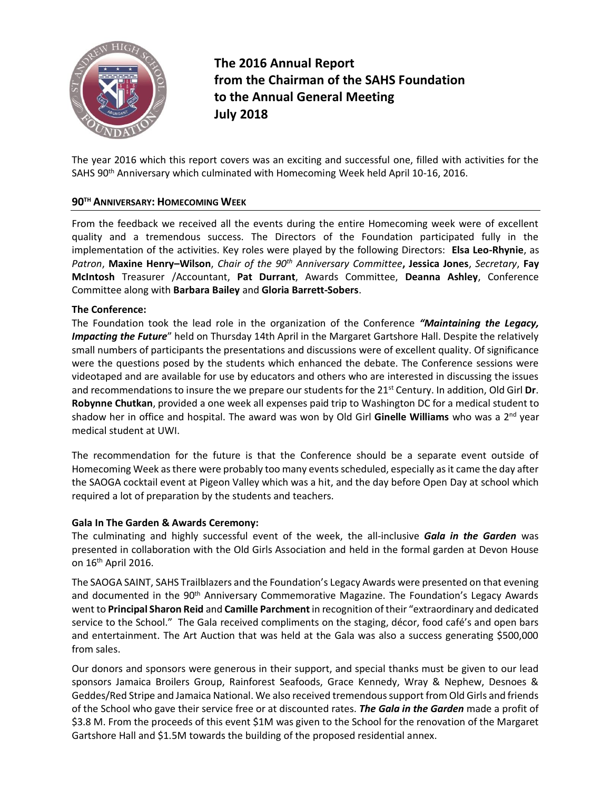

**The 2016 Annual Report from the Chairman of the SAHS Foundation to the Annual General Meeting July 2018**

The year 2016 which this report covers was an exciting and successful one, filled with activities for the SAHS 90th Anniversary which culminated with Homecoming Week held April 10-16, 2016.

# **90TH ANNIVERSARY: HOMECOMING WEEK**

From the feedback we received all the events during the entire Homecoming week were of excellent quality and a tremendous success. The Directors of the Foundation participated fully in the implementation of the activities. Key roles were played by the following Directors: **Elsa Leo-Rhynie**, as *Patron*, **Maxine Henry–Wilson**, *Chair of the 90th Anniversary Committee***, Jessica Jones**, *Secretary*, **Fay McIntosh** Treasurer /Accountant, **Pat Durrant**, Awards Committee, **Deanna Ashley**, Conference Committee along with **Barbara Bailey** and **Gloria Barrett-Sobers**.

## **The Conference:**

The Foundation took the lead role in the organization of the Conference *"Maintaining the Legacy, Impacting the Future*" held on Thursday 14th April in the Margaret Gartshore Hall. Despite the relatively small numbers of participants the presentations and discussions were of excellent quality. Of significance were the questions posed by the students which enhanced the debate. The Conference sessions were videotaped and are available for use by educators and others who are interested in discussing the issues and recommendations to insure the we prepare our students for the 21st Century. In addition, Old Girl **Dr**. **Robynne Chutkan**, provided a one week all expenses paid trip to Washington DC for a medical student to shadow her in office and hospital. The award was won by Old Girl **Ginelle Williams** who was a 2nd year medical student at UWI.

The recommendation for the future is that the Conference should be a separate event outside of Homecoming Week as there were probably too many eventsscheduled, especially as it came the day after the SAOGA cocktail event at Pigeon Valley which was a hit, and the day before Open Day at school which required a lot of preparation by the students and teachers.

#### **Gala In The Garden & Awards Ceremony:**

The culminating and highly successful event of the week, the all-inclusive *Gala in the Garden* was presented in collaboration with the Old Girls Association and held in the formal garden at Devon House on 16th April 2016.

The SAOGA SAINT, SAHS Trailblazers and the Foundation's Legacy Awards were presented on that evening and documented in the 90<sup>th</sup> Anniversary Commemorative Magazine. The Foundation's Legacy Awards went to **Principal Sharon Reid** and **Camille Parchment** in recognition of their "extraordinary and dedicated service to the School." The Gala received compliments on the staging, décor, food café's and open bars and entertainment. The Art Auction that was held at the Gala was also a success generating \$500,000 from sales.

Our donors and sponsors were generous in their support, and special thanks must be given to our lead sponsors Jamaica Broilers Group, Rainforest Seafoods, Grace Kennedy, Wray & Nephew, Desnoes & Geddes/Red Stripe and Jamaica National. We also received tremendoussupport from Old Girls and friends of the School who gave their service free or at discounted rates. *The Gala in the Garden* made a profit of \$3.8 M. From the proceeds of this event \$1M was given to the School for the renovation of the Margaret Gartshore Hall and \$1.5M towards the building of the proposed residential annex.